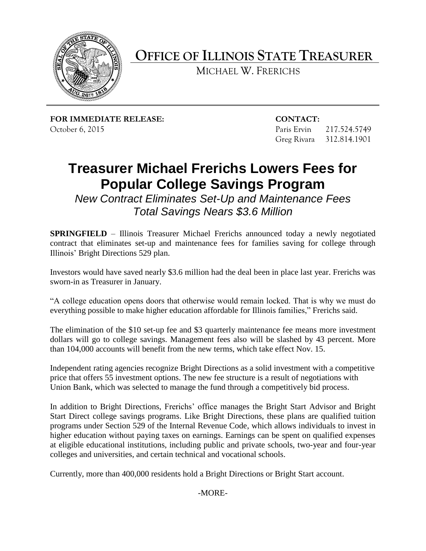

**OFFICE OF ILLINOIS STATE TREASURER**

MICHAEL W. FRERICHS

**FOR IMMEDIATE RELEASE: CONTACT:** October 6, 2015 Paris Ervin 217.524.5749

Greg Rivara 312.814.1901

## **Treasurer Michael Frerichs Lowers Fees for Popular College Savings Program**

*New Contract Eliminates Set-Up and Maintenance Fees Total Savings Nears \$3.6 Million*

**SPRINGFIELD** – Illinois Treasurer Michael Frerichs announced today a newly negotiated contract that eliminates set-up and maintenance fees for families saving for college through Illinois' Bright Directions 529 plan.

Investors would have saved nearly \$3.6 million had the deal been in place last year. Frerichs was sworn-in as Treasurer in January.

"A college education opens doors that otherwise would remain locked. That is why we must do everything possible to make higher education affordable for Illinois families," Frerichs said.

The elimination of the \$10 set-up fee and \$3 quarterly maintenance fee means more investment dollars will go to college savings. Management fees also will be slashed by 43 percent. More than 104,000 accounts will benefit from the new terms, which take effect Nov. 15.

Independent rating agencies recognize Bright Directions as a solid investment with a competitive price that offers 55 investment options. The new fee structure is a result of negotiations with Union Bank, which was selected to manage the fund through a competitively bid process.

In addition to Bright Directions, Frerichs' office manages the Bright Start Advisor and Bright Start Direct college savings programs. Like Bright Directions, these plans are qualified tuition programs under Section 529 of the Internal Revenue Code, which allows individuals to invest in higher education without paying taxes on earnings. Earnings can be spent on qualified expenses at eligible educational institutions, including public and private schools, two-year and four-year colleges and universities, and certain technical and vocational schools.

Currently, more than 400,000 residents hold a Bright Directions or Bright Start account.

-MORE-